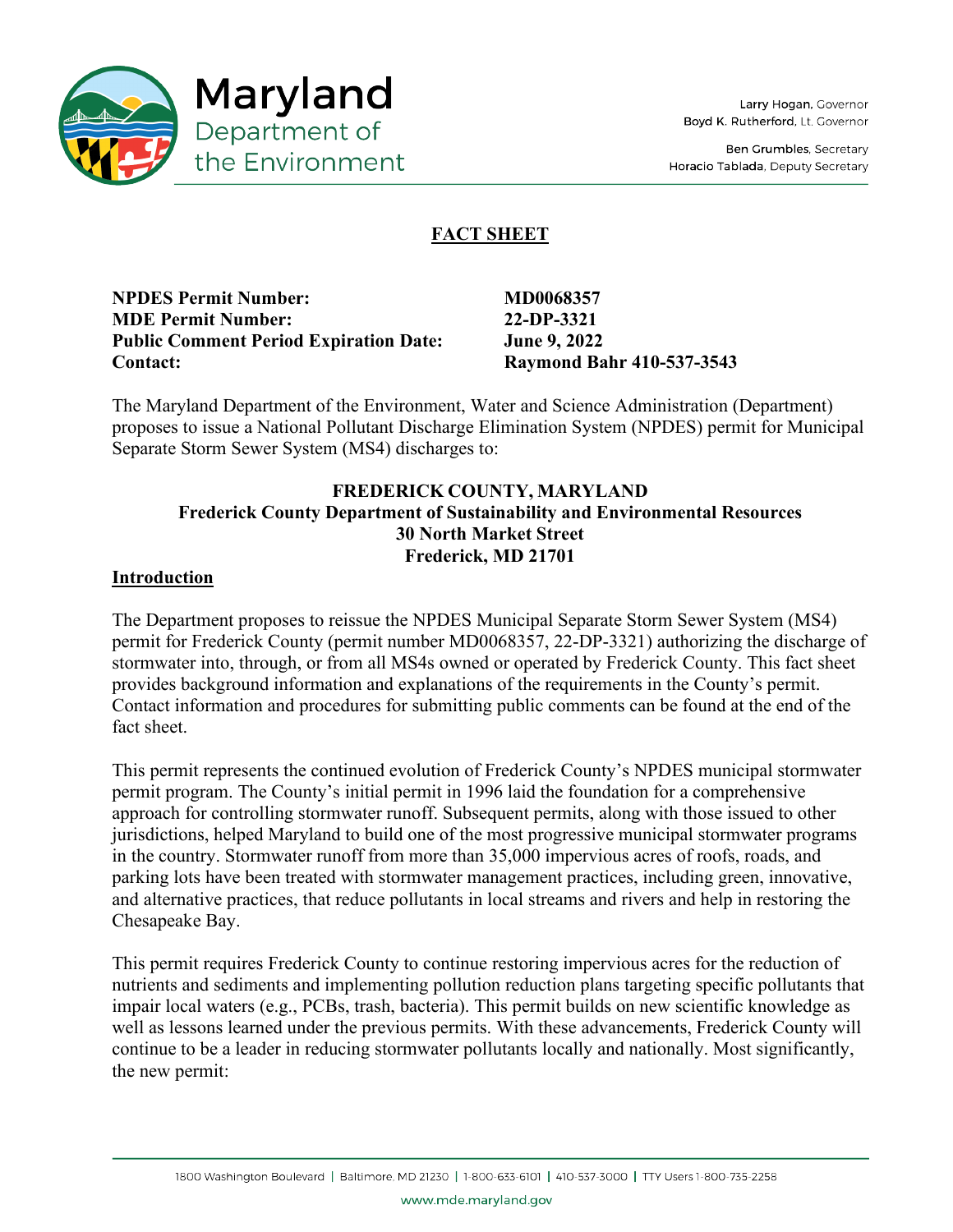

Ben Grumbles, Secretary Horacio Tablada, Deputy Secretary

# **FACT SHEET**

**NPDES Permit Number: MD0068357 MDE Permit Number: 22-DP-3321 Public Comment Period Expiration Date: June 9, 2022 Contact: Raymond Bahr 410-537-3543** 

The Maryland Department of the Environment, Water and Science Administration (Department) proposes to issue a National Pollutant Discharge Elimination System (NPDES) permit for Municipal Separate Storm Sewer System (MS4) discharges to:

# **FREDERICK COUNTY, MARYLAND Frederick County Department of Sustainability and Environmental Resources 30 North Market Street Frederick, MD 21701**

#### **Introduction**

The Department proposes to reissue the NPDES Municipal Separate Storm Sewer System (MS4) permit for Frederick County (permit number MD0068357, 22-DP-3321) authorizing the discharge of stormwater into, through, or from all MS4s owned or operated by Frederick County. This fact sheet provides background information and explanations of the requirements in the County's permit. Contact information and procedures for submitting public comments can be found at the end of the fact sheet.

This permit represents the continued evolution of Frederick County's NPDES municipal stormwater permit program. The County's initial permit in 1996 laid the foundation for a comprehensive approach for controlling stormwater runoff. Subsequent permits, along with those issued to other jurisdictions, helped Maryland to build one of the most progressive municipal stormwater programs in the country. Stormwater runoff from more than 35,000 impervious acres of roofs, roads, and parking lots have been treated with stormwater management practices, including green, innovative, and alternative practices, that reduce pollutants in local streams and rivers and help in restoring the Chesapeake Bay.

This permit requires Frederick County to continue restoring impervious acres for the reduction of nutrients and sediments and implementing pollution reduction plans targeting specific pollutants that impair local waters (e.g., PCBs, trash, bacteria). This permit builds on new scientific knowledge as well as lessons learned under the previous permits. With these advancements, Frederick County will continue to be a leader in reducing stormwater pollutants locally and nationally. Most significantly, the new permit:

www.mde.maryland.gov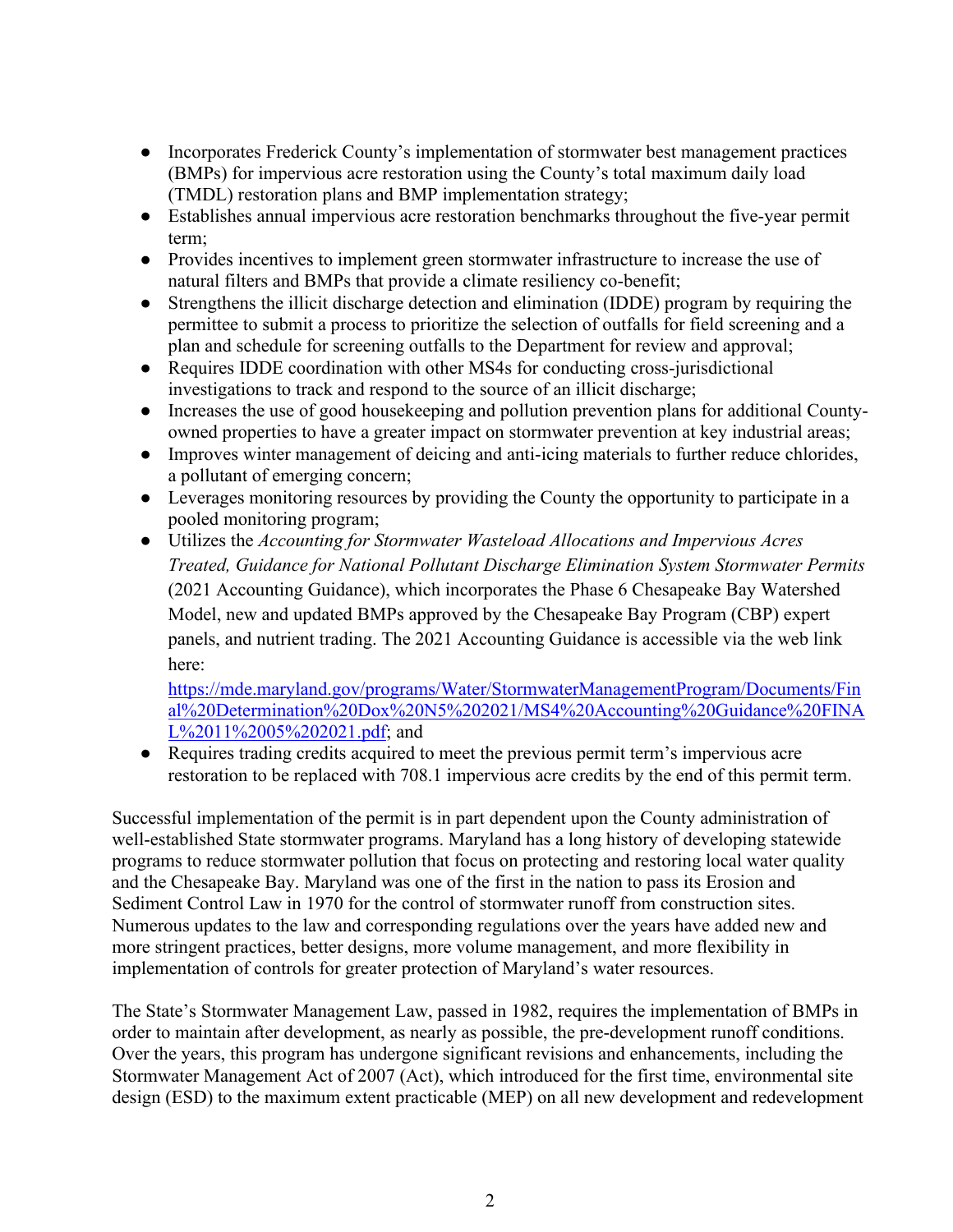- Incorporates Frederick County's implementation of stormwater best management practices (BMPs) for impervious acre restoration using the County's total maximum daily load (TMDL) restoration plans and BMP implementation strategy;
- Establishes annual impervious acre restoration benchmarks throughout the five-year permit term;
- Provides incentives to implement green stormwater infrastructure to increase the use of natural filters and BMPs that provide a climate resiliency co-benefit;
- Strengthens the illicit discharge detection and elimination (IDDE) program by requiring the permittee to submit a process to prioritize the selection of outfalls for field screening and a plan and schedule for screening outfalls to the Department for review and approval;
- Requires IDDE coordination with other MS4s for conducting cross-jurisdictional investigations to track and respond to the source of an illicit discharge;
- Increases the use of good housekeeping and pollution prevention plans for additional Countyowned properties to have a greater impact on stormwater prevention at key industrial areas;
- Improves winter management of deicing and anti-icing materials to further reduce chlorides, a pollutant of emerging concern;
- Leverages monitoring resources by providing the County the opportunity to participate in a pooled monitoring program;
- Utilizes the *Accounting for Stormwater Wasteload Allocations and Impervious Acres Treated, Guidance for National Pollutant Discharge Elimination System Stormwater Permits* (2021 Accounting Guidance), which incorporates the Phase 6 Chesapeake Bay Watershed Model, new and updated BMPs approved by the Chesapeake Bay Program (CBP) expert panels, and nutrient trading. The 2021 Accounting Guidance is accessible via the web link here:

[https://mde.maryland.gov/programs/Water/StormwaterManagementProgram/Documents/Fin](https://mde.maryland.gov/programs/Water/StormwaterManagementProgram/Documents/Final%20Determination%20Dox%20N5%202021/MS4%20Accounting%20Guidance%20FINAL%2011%2005%202021.pdf) [al%20Determination%20Dox%20N5%202021/MS4%20Accounting%20Guidance%20FINA](https://mde.maryland.gov/programs/Water/StormwaterManagementProgram/Documents/Final%20Determination%20Dox%20N5%202021/MS4%20Accounting%20Guidance%20FINAL%2011%2005%202021.pdf) [L%2011%2005%202021.pdf;](https://mde.maryland.gov/programs/Water/StormwaterManagementProgram/Documents/Final%20Determination%20Dox%20N5%202021/MS4%20Accounting%20Guidance%20FINAL%2011%2005%202021.pdf) and

● Requires trading credits acquired to meet the previous permit term's impervious acre restoration to be replaced with 708.1 impervious acre credits by the end of this permit term.

Successful implementation of the permit is in part dependent upon the County administration of well-established State stormwater programs. Maryland has a long history of developing statewide programs to reduce stormwater pollution that focus on protecting and restoring local water quality and the Chesapeake Bay. Maryland was one of the first in the nation to pass its Erosion and Sediment Control Law in 1970 for the control of stormwater runoff from construction sites. Numerous updates to the law and corresponding regulations over the years have added new and more stringent practices, better designs, more volume management, and more flexibility in implementation of controls for greater protection of Maryland's water resources.

The State's Stormwater Management Law, passed in 1982, requires the implementation of BMPs in order to maintain after development, as nearly as possible, the pre-development runoff conditions. Over the years, this program has undergone significant revisions and enhancements, including the Stormwater Management Act of 2007 (Act), which introduced for the first time, environmental site design (ESD) to the maximum extent practicable (MEP) on all new development and redevelopment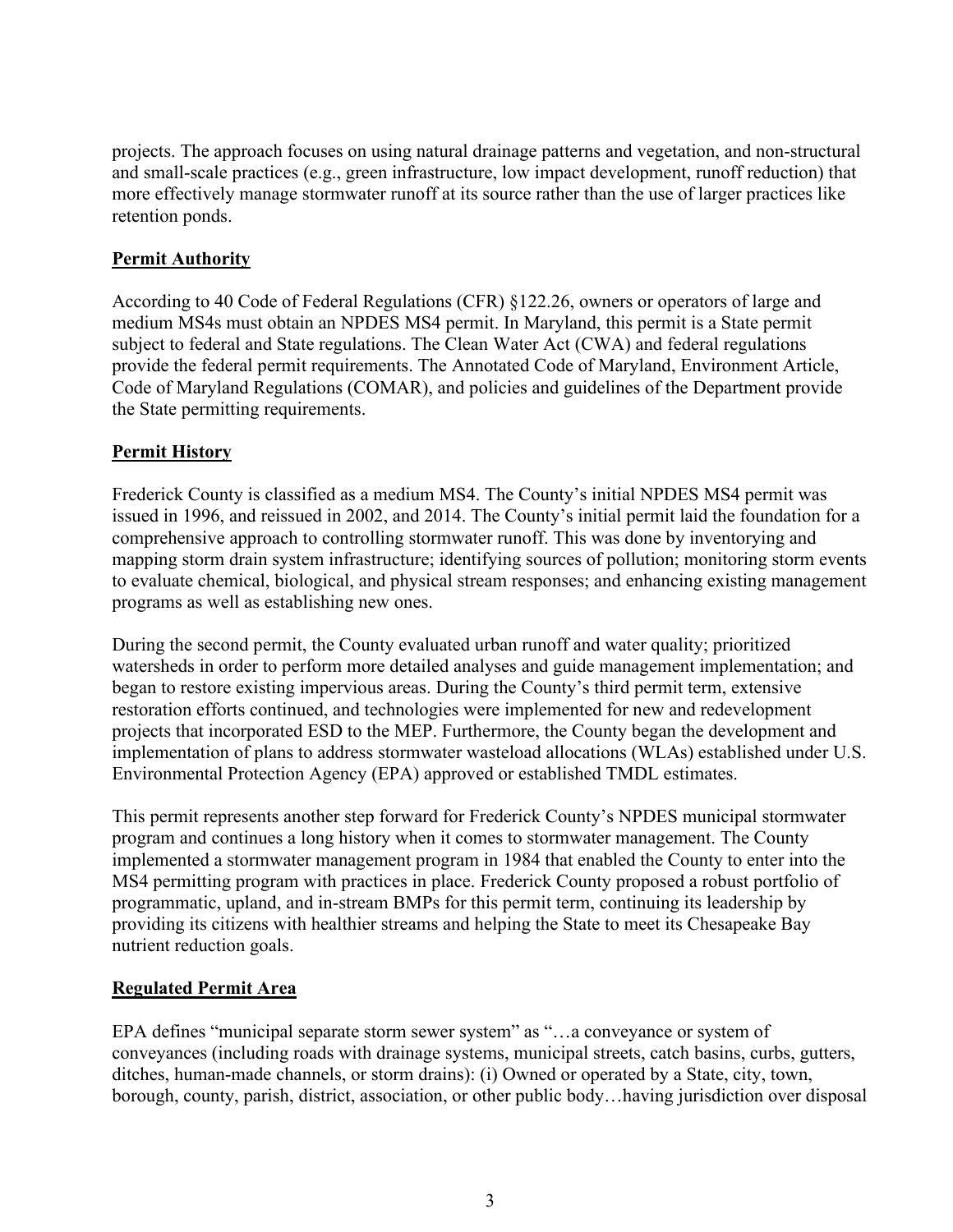projects. The approach focuses on using natural drainage patterns and vegetation, and non-structural and small-scale practices (e.g., green infrastructure, low impact development, runoff reduction) that more effectively manage stormwater runoff at its source rather than the use of larger practices like retention ponds.

#### **Permit Authority**

According to 40 Code of Federal Regulations (CFR) §122.26, owners or operators of large and medium MS4s must obtain an NPDES MS4 permit. In Maryland, this permit is a State permit subject to federal and State regulations. The Clean Water Act (CWA) and federal regulations provide the federal permit requirements. The Annotated Code of Maryland, Environment Article, Code of Maryland Regulations (COMAR), and policies and guidelines of the Department provide the State permitting requirements.

#### **Permit History**

Frederick County is classified as a medium MS4. The County's initial NPDES MS4 permit was issued in 1996, and reissued in 2002, and 2014. The County's initial permit laid the foundation for a comprehensive approach to controlling stormwater runoff. This was done by inventorying and mapping storm drain system infrastructure; identifying sources of pollution; monitoring storm events to evaluate chemical, biological, and physical stream responses; and enhancing existing management programs as well as establishing new ones.

During the second permit, the County evaluated urban runoff and water quality; prioritized watersheds in order to perform more detailed analyses and guide management implementation; and began to restore existing impervious areas. During the County's third permit term, extensive restoration efforts continued, and technologies were implemented for new and redevelopment projects that incorporated ESD to the MEP. Furthermore, the County began the development and implementation of plans to address stormwater wasteload allocations (WLAs) established under U.S. Environmental Protection Agency (EPA) approved or established TMDL estimates.

This permit represents another step forward for Frederick County's NPDES municipal stormwater program and continues a long history when it comes to stormwater management. The County implemented a stormwater management program in 1984 that enabled the County to enter into the MS4 permitting program with practices in place. Frederick County proposed a robust portfolio of programmatic, upland, and in-stream BMPs for this permit term, continuing its leadership by providing its citizens with healthier streams and helping the State to meet its Chesapeake Bay nutrient reduction goals.

#### **Regulated Permit Area**

EPA defines "municipal separate storm sewer system" as "…a conveyance or system of conveyances (including roads with drainage systems, municipal streets, catch basins, curbs, gutters, ditches, human-made channels, or storm drains): (i) Owned or operated by a State, city, town, borough, county, parish, district, association, or other public body…having jurisdiction over disposal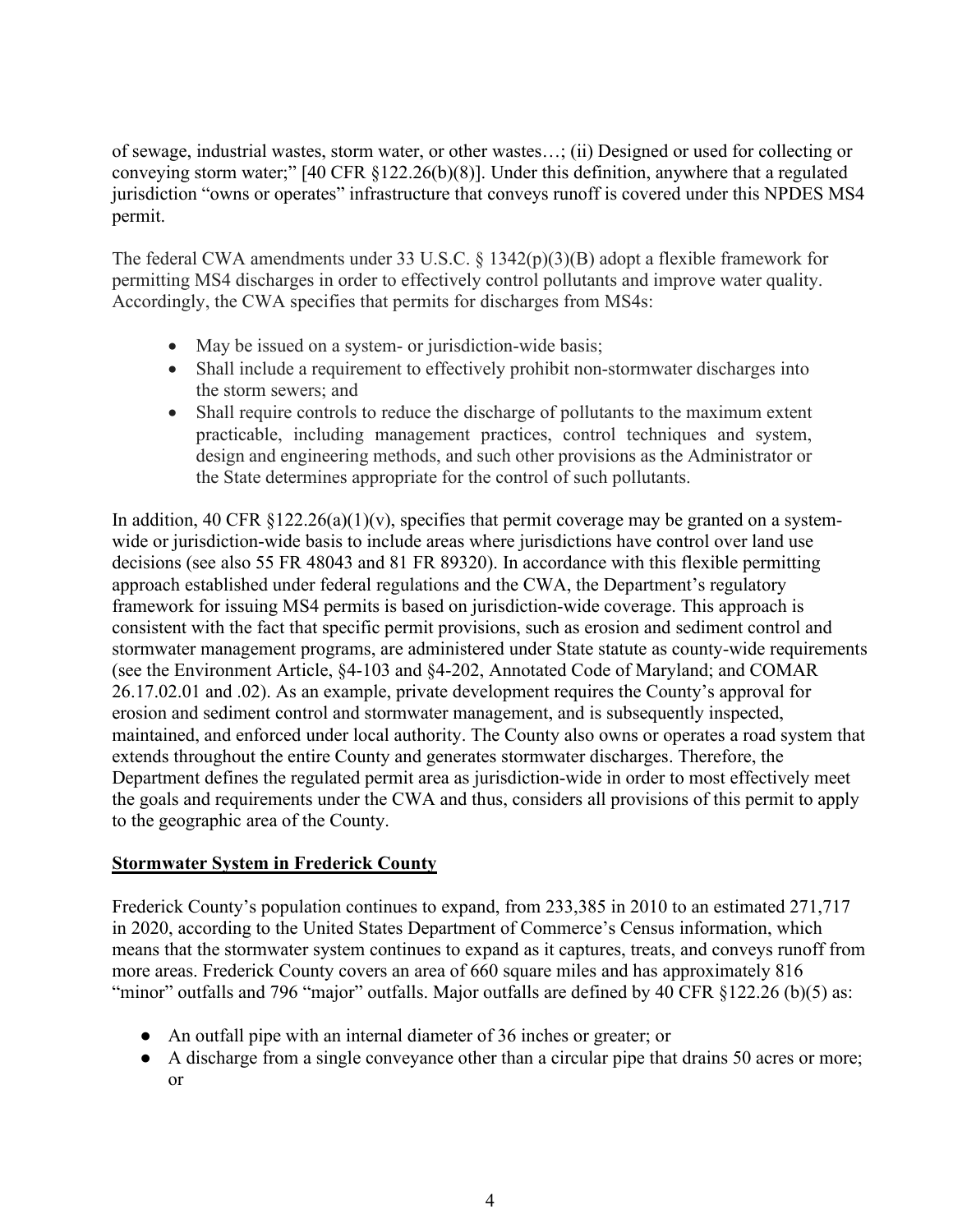of sewage, industrial wastes, storm water, or other wastes…; (ii) Designed or used for collecting or conveying storm water;" [40 CFR §122.26(b)(8)]. Under this definition, anywhere that a regulated jurisdiction "owns or operates" infrastructure that conveys runoff is covered under this NPDES MS4 permit.

The federal CWA amendments under 33 U.S.C. § 1342(p)(3)(B) adopt a flexible framework for permitting MS4 discharges in order to effectively control pollutants and improve water quality. Accordingly, the CWA specifies that permits for discharges from MS4s:

- May be issued on a system- or jurisdiction-wide basis;
- Shall include a requirement to effectively prohibit non-stormwater discharges into the storm sewers; and
- Shall require controls to reduce the discharge of pollutants to the maximum extent practicable, including management practices, control techniques and system, design and engineering methods, and such other provisions as the Administrator or the State determines appropriate for the control of such pollutants.

In addition, 40 CFR  $\S 122.26(a)(1)(v)$ , specifies that permit coverage may be granted on a systemwide or jurisdiction-wide basis to include areas where jurisdictions have control over land use decisions (see also 55 FR 48043 and 81 FR 89320). In accordance with this flexible permitting approach established under federal regulations and the CWA, the Department's regulatory framework for issuing MS4 permits is based on jurisdiction-wide coverage. This approach is consistent with the fact that specific permit provisions, such as erosion and sediment control and stormwater management programs, are administered under State statute as county-wide requirements (see the Environment Article, §4-103 and §4-202, Annotated Code of Maryland; and COMAR 26.17.02.01 and .02). As an example, private development requires the County's approval for erosion and sediment control and stormwater management, and is subsequently inspected, maintained, and enforced under local authority. The County also owns or operates a road system that extends throughout the entire County and generates stormwater discharges. Therefore, the Department defines the regulated permit area as jurisdiction-wide in order to most effectively meet the goals and requirements under the CWA and thus, considers all provisions of this permit to apply to the geographic area of the County.

### **Stormwater System in Frederick County**

Frederick County's population continues to expand, from 233,385 in 2010 to an estimated 271,717 in 2020, according to the United States Department of Commerce's Census information, which means that the stormwater system continues to expand as it captures, treats, and conveys runoff from more areas. Frederick County covers an area of 660 square miles and has approximately 816 "minor" outfalls and 796 "major" outfalls. Major outfalls are defined by 40 CFR §122.26 (b)(5) as:

- An outfall pipe with an internal diameter of 36 inches or greater; or
- A discharge from a single conveyance other than a circular pipe that drains 50 acres or more; or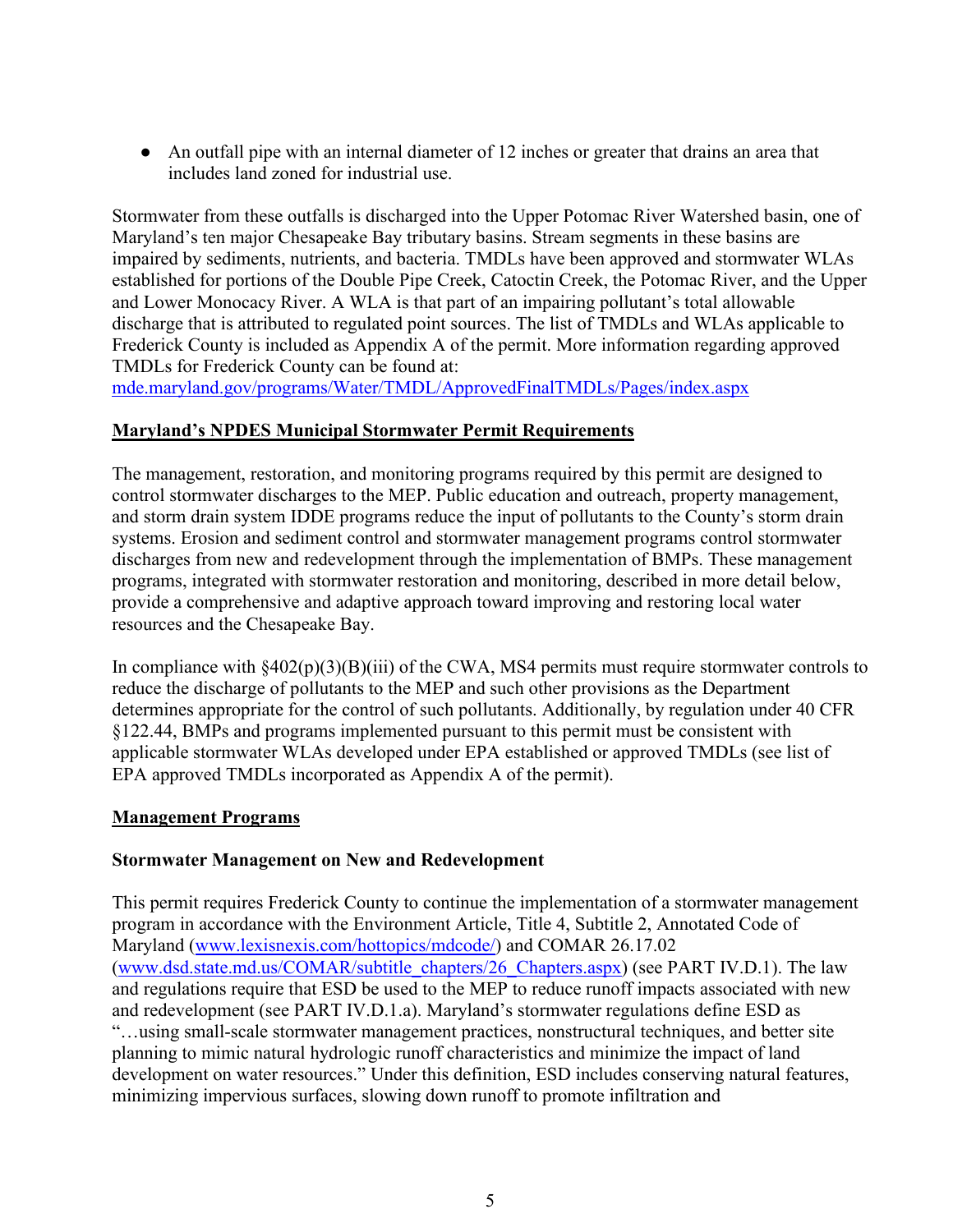● An outfall pipe with an internal diameter of 12 inches or greater that drains an area that includes land zoned for industrial use.

Stormwater from these outfalls is discharged into the Upper Potomac River Watershed basin, one of Maryland's ten major Chesapeake Bay tributary basins. Stream segments in these basins are impaired by sediments, nutrients, and bacteria. TMDLs have been approved and stormwater WLAs established for portions of the Double Pipe Creek, Catoctin Creek, the Potomac River, and the Upper and Lower Monocacy River. A WLA is that part of an impairing pollutant's total allowable discharge that is attributed to regulated point sources. The list of TMDLs and WLAs applicable to Frederick County is included as Appendix A of the permit. More information regarding approved TMDLs for Frederick County can be found at:

<mde.maryland.gov/programs/Water/TMDL/ApprovedFinalTMDLs/Pages/index.aspx>

#### **Maryland's NPDES Municipal Stormwater Permit Requirements**

The management, restoration, and monitoring programs required by this permit are designed to control stormwater discharges to the MEP. Public education and outreach, property management, and storm drain system IDDE programs reduce the input of pollutants to the County's storm drain systems. Erosion and sediment control and stormwater management programs control stormwater discharges from new and redevelopment through the implementation of BMPs. These management programs, integrated with stormwater restoration and monitoring, described in more detail below, provide a comprehensive and adaptive approach toward improving and restoring local water resources and the Chesapeake Bay.

In compliance with  $§402(p)(3)(B)(iii)$  of the CWA, MS4 permits must require stormwater controls to reduce the discharge of pollutants to the MEP and such other provisions as the Department determines appropriate for the control of such pollutants. Additionally, by regulation under 40 CFR §122.44, BMPs and programs implemented pursuant to this permit must be consistent with applicable stormwater WLAs developed under EPA established or approved TMDLs (see list of EPA approved TMDLs incorporated as Appendix A of the permit).

#### **Management Programs**

#### **Stormwater Management on New and Redevelopment**

This permit requires Frederick County to continue the implementation of a stormwater management program in accordance with the Environment Article, Title 4, Subtitle 2, Annotated Code of Maryland [\(www.lexisnexis.com/hottopics/mdcode/\)](http://www.lexisnexis.com/hottopics/mdcode/) and COMAR 26.17.02 [\(www.dsd.state.md.us/COMAR/subtitle\\_chapters/26\\_Chapters.aspx\)](www.dsd.state.md.us/comar/subtitle_chapters/26_Chapters.aspx) (see PART IV.D.1). The law and regulations require that ESD be used to the MEP to reduce runoff impacts associated with new and redevelopment (see PART IV.D.1.a). Maryland's stormwater regulations define ESD as "…using small-scale stormwater management practices, nonstructural techniques, and better site planning to mimic natural hydrologic runoff characteristics and minimize the impact of land development on water resources." Under this definition, ESD includes conserving natural features, minimizing impervious surfaces, slowing down runoff to promote infiltration and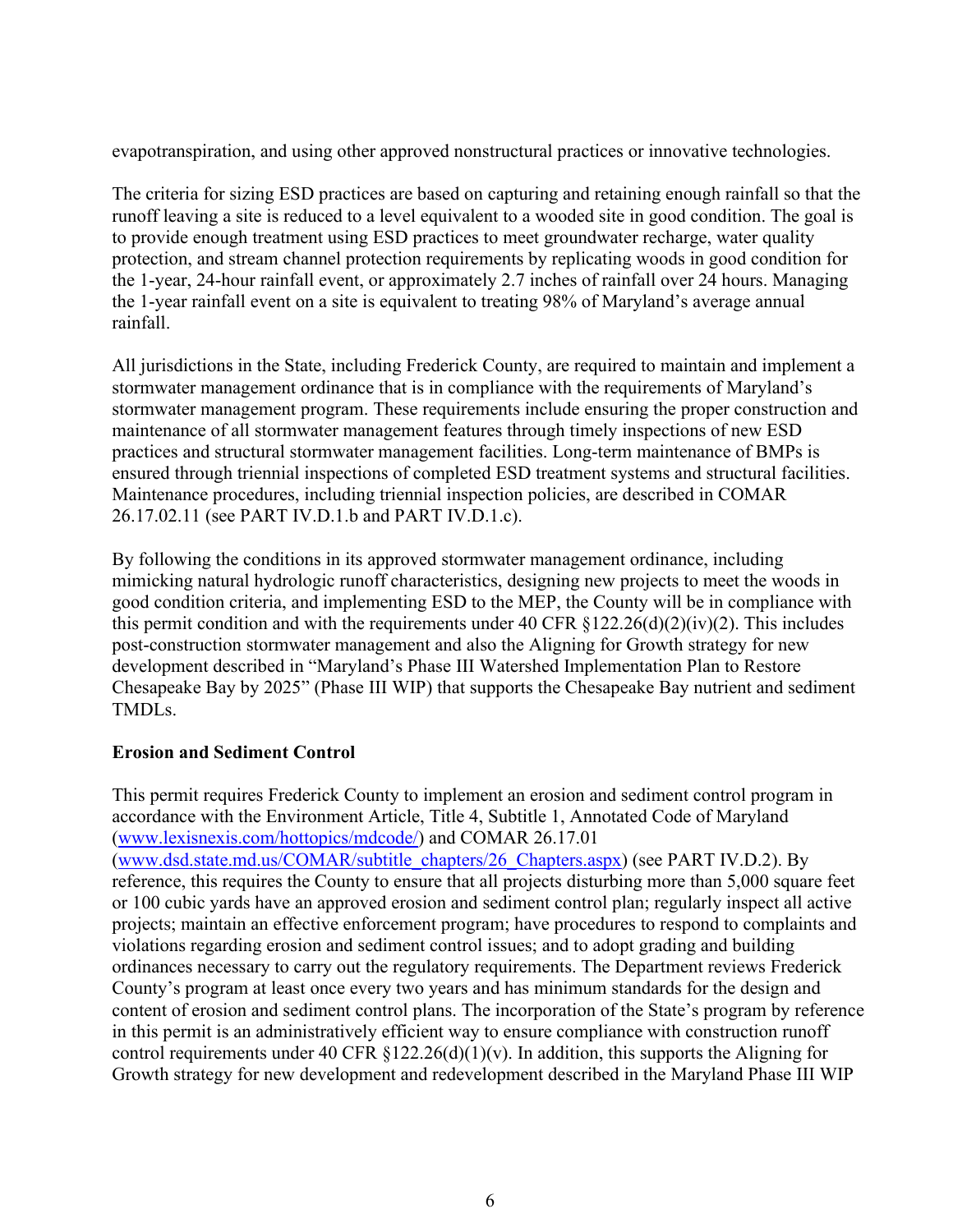evapotranspiration, and using other approved nonstructural practices or innovative technologies.

The criteria for sizing ESD practices are based on capturing and retaining enough rainfall so that the runoff leaving a site is reduced to a level equivalent to a wooded site in good condition. The goal is to provide enough treatment using ESD practices to meet groundwater recharge, water quality protection, and stream channel protection requirements by replicating woods in good condition for the 1-year, 24-hour rainfall event, or approximately 2.7 inches of rainfall over 24 hours. Managing the 1-year rainfall event on a site is equivalent to treating 98% of Maryland's average annual rainfall.

All jurisdictions in the State, including Frederick County, are required to maintain and implement a stormwater management ordinance that is in compliance with the requirements of Maryland's stormwater management program. These requirements include ensuring the proper construction and maintenance of all stormwater management features through timely inspections of new ESD practices and structural stormwater management facilities. Long-term maintenance of BMPs is ensured through triennial inspections of completed ESD treatment systems and structural facilities. Maintenance procedures, including triennial inspection policies, are described in COMAR 26.17.02.11 (see PART IV.D.1.b and PART IV.D.1.c).

By following the conditions in its approved stormwater management ordinance, including mimicking natural hydrologic runoff characteristics, designing new projects to meet the woods in good condition criteria, and implementing ESD to the MEP, the County will be in compliance with this permit condition and with the requirements under 40 CFR  $\S 122.26(d)(2)(iv)(2)$ . This includes post-construction stormwater management and also the Aligning for Growth strategy for new development described in "Maryland's Phase III Watershed Implementation Plan to Restore Chesapeake Bay by 2025" (Phase III WIP) that supports the Chesapeake Bay nutrient and sediment TMDLs.

### **Erosion and Sediment Control**

This permit requires Frederick County to implement an erosion and sediment control program in accordance with the Environment Article, Title 4, Subtitle 1, Annotated Code of Maryland [\(www.lexisnexis.com/hottopics/mdcode/\)](http://www.lexisnexis.com/hottopics/mdcode/) and COMAR 26.17.01 [\(www.dsd.state.md.us/COMAR/subtitle\\_chapters/26\\_Chapters.aspx\)](http://www.dsd.state.md.us/COMAR/subtitle_chapters/26_Chapters.aspx) (see PART IV.D.2). By reference, this requires the County to ensure that all projects disturbing more than 5,000 square feet or 100 cubic yards have an approved erosion and sediment control plan; regularly inspect all active projects; maintain an effective enforcement program; have procedures to respond to complaints and violations regarding erosion and sediment control issues; and to adopt grading and building ordinances necessary to carry out the regulatory requirements. The Department reviews Frederick County's program at least once every two years and has minimum standards for the design and content of erosion and sediment control plans. The incorporation of the State's program by reference in this permit is an administratively efficient way to ensure compliance with construction runoff control requirements under 40 CFR  $\S 122.26(d)(1)(v)$ . In addition, this supports the Aligning for Growth strategy for new development and redevelopment described in the Maryland Phase III WIP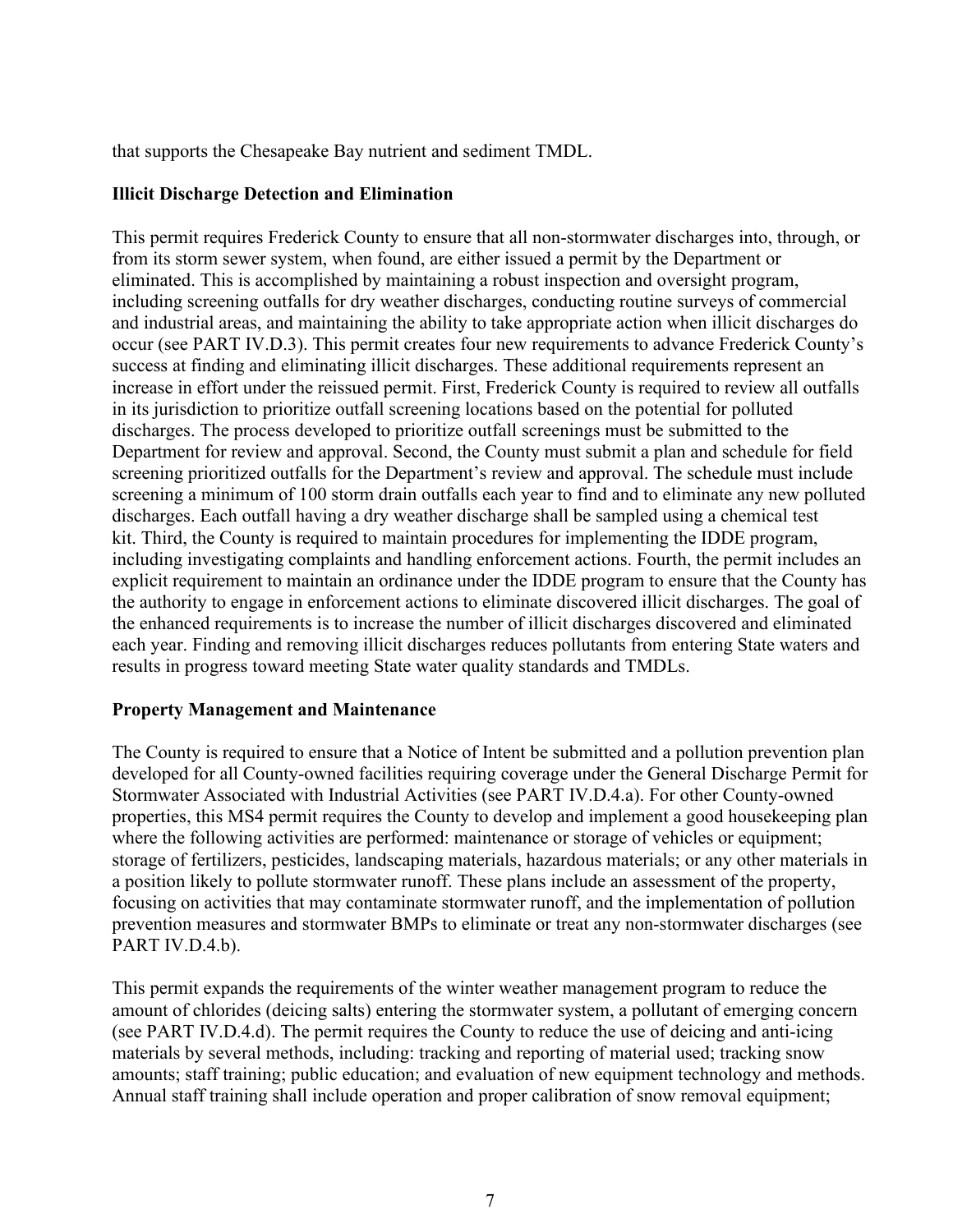that supports the Chesapeake Bay nutrient and sediment TMDL.

#### **Illicit Discharge Detection and Elimination**

This permit requires Frederick County to ensure that all non-stormwater discharges into, through, or from its storm sewer system, when found, are either issued a permit by the Department or eliminated. This is accomplished by maintaining a robust inspection and oversight program, including screening outfalls for dry weather discharges, conducting routine surveys of commercial and industrial areas, and maintaining the ability to take appropriate action when illicit discharges do occur (see PART IV.D.3). This permit creates four new requirements to advance Frederick County's success at finding and eliminating illicit discharges. These additional requirements represent an increase in effort under the reissued permit. First, Frederick County is required to review all outfalls in its jurisdiction to prioritize outfall screening locations based on the potential for polluted discharges. The process developed to prioritize outfall screenings must be submitted to the Department for review and approval. Second, the County must submit a plan and schedule for field screening prioritized outfalls for the Department's review and approval. The schedule must include screening a minimum of 100 storm drain outfalls each year to find and to eliminate any new polluted discharges. Each outfall having a dry weather discharge shall be sampled using a chemical test kit. Third, the County is required to maintain procedures for implementing the IDDE program, including investigating complaints and handling enforcement actions. Fourth, the permit includes an explicit requirement to maintain an ordinance under the IDDE program to ensure that the County has the authority to engage in enforcement actions to eliminate discovered illicit discharges. The goal of the enhanced requirements is to increase the number of illicit discharges discovered and eliminated each year. Finding and removing illicit discharges reduces pollutants from entering State waters and results in progress toward meeting State water quality standards and TMDLs.

#### **Property Management and Maintenance**

The County is required to ensure that a Notice of Intent be submitted and a pollution prevention plan developed for all County-owned facilities requiring coverage under the General Discharge Permit for Stormwater Associated with Industrial Activities (see PART IV.D.4.a). For other County-owned properties, this MS4 permit requires the County to develop and implement a good housekeeping plan where the following activities are performed: maintenance or storage of vehicles or equipment; storage of fertilizers, pesticides, landscaping materials, hazardous materials; or any other materials in a position likely to pollute stormwater runoff. These plans include an assessment of the property, focusing on activities that may contaminate stormwater runoff, and the implementation of pollution prevention measures and stormwater BMPs to eliminate or treat any non-stormwater discharges (see PART IV.D.4.b).

This permit expands the requirements of the winter weather management program to reduce the amount of chlorides (deicing salts) entering the stormwater system, a pollutant of emerging concern (see PART IV.D.4.d). The permit requires the County to reduce the use of deicing and anti-icing materials by several methods, including: tracking and reporting of material used; tracking snow amounts; staff training; public education; and evaluation of new equipment technology and methods. Annual staff training shall include operation and proper calibration of snow removal equipment;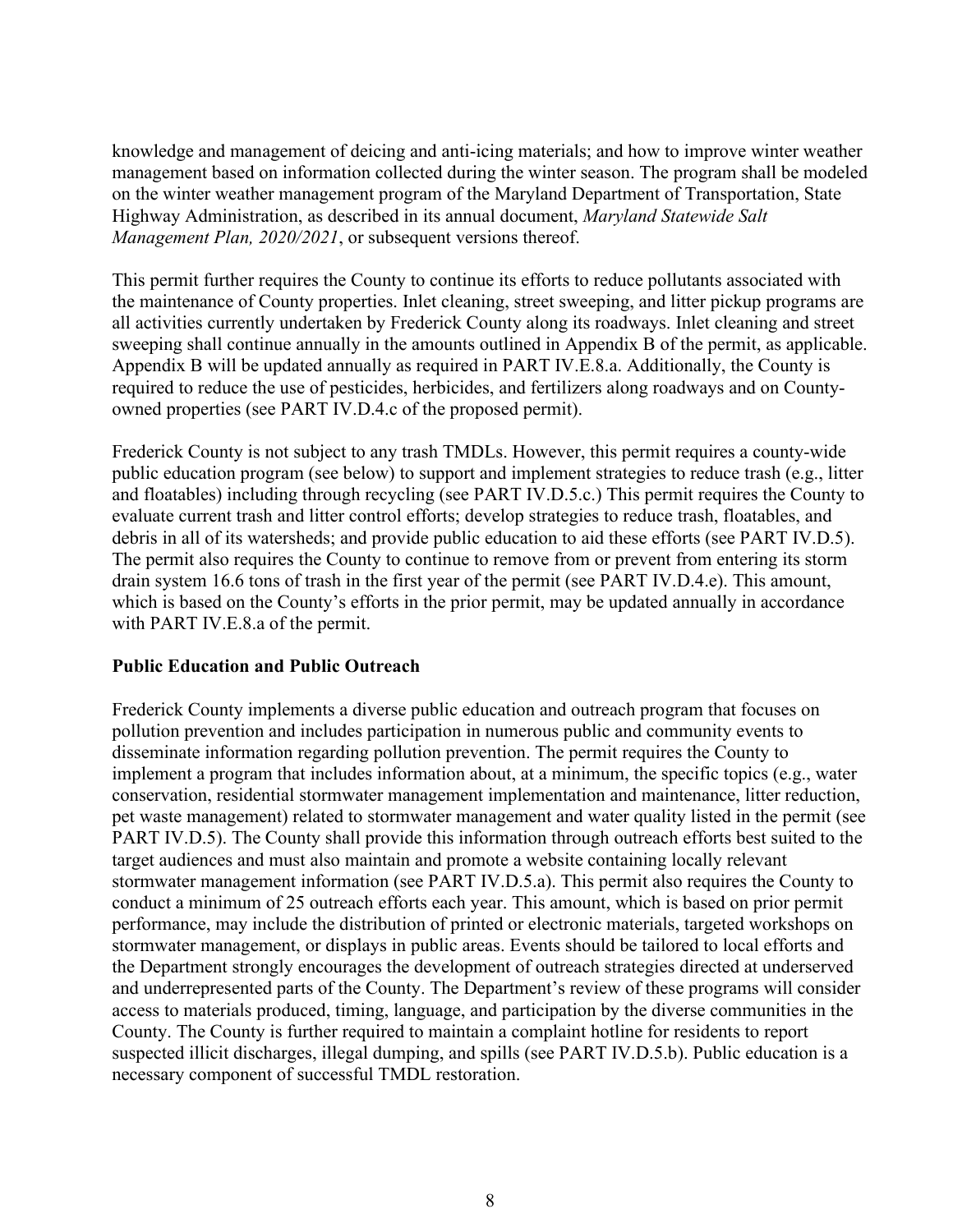knowledge and management of deicing and anti-icing materials; and how to improve winter weather management based on information collected during the winter season. The program shall be modeled on the winter weather management program of the Maryland Department of Transportation, State Highway Administration, as described in its annual document, *Maryland Statewide Salt Management Plan, 2020/2021*, or subsequent versions thereof.

This permit further requires the County to continue its efforts to reduce pollutants associated with the maintenance of County properties. Inlet cleaning, street sweeping, and litter pickup programs are all activities currently undertaken by Frederick County along its roadways. Inlet cleaning and street sweeping shall continue annually in the amounts outlined in Appendix B of the permit, as applicable. Appendix B will be updated annually as required in PART IV.E.8.a. Additionally, the County is required to reduce the use of pesticides, herbicides, and fertilizers along roadways and on Countyowned properties (see PART IV.D.4.c of the proposed permit).

Frederick County is not subject to any trash TMDLs. However, this permit requires a county-wide public education program (see below) to support and implement strategies to reduce trash (e.g., litter and floatables) including through recycling (see PART IV.D.5.c.) This permit requires the County to evaluate current trash and litter control efforts; develop strategies to reduce trash, floatables, and debris in all of its watersheds; and provide public education to aid these efforts (see PART IV.D.5). The permit also requires the County to continue to remove from or prevent from entering its storm drain system 16.6 tons of trash in the first year of the permit (see PART IV.D.4.e). This amount, which is based on the County's efforts in the prior permit, may be updated annually in accordance with PART IV.E.8.a of the permit.

### **Public Education and Public Outreach**

Frederick County implements a diverse public education and outreach program that focuses on pollution prevention and includes participation in numerous public and community events to disseminate information regarding pollution prevention. The permit requires the County to implement a program that includes information about, at a minimum, the specific topics (e.g., water conservation, residential stormwater management implementation and maintenance, litter reduction, pet waste management) related to stormwater management and water quality listed in the permit (see PART IV.D.5). The County shall provide this information through outreach efforts best suited to the target audiences and must also maintain and promote a website containing locally relevant stormwater management information (see PART IV.D.5.a). This permit also requires the County to conduct a minimum of 25 outreach efforts each year. This amount, which is based on prior permit performance, may include the distribution of printed or electronic materials, targeted workshops on stormwater management, or displays in public areas. Events should be tailored to local efforts and the Department strongly encourages the development of outreach strategies directed at underserved and underrepresented parts of the County. The Department's review of these programs will consider access to materials produced, timing, language, and participation by the diverse communities in the County. The County is further required to maintain a complaint hotline for residents to report suspected illicit discharges, illegal dumping, and spills (see PART IV.D.5.b). Public education is a necessary component of successful TMDL restoration.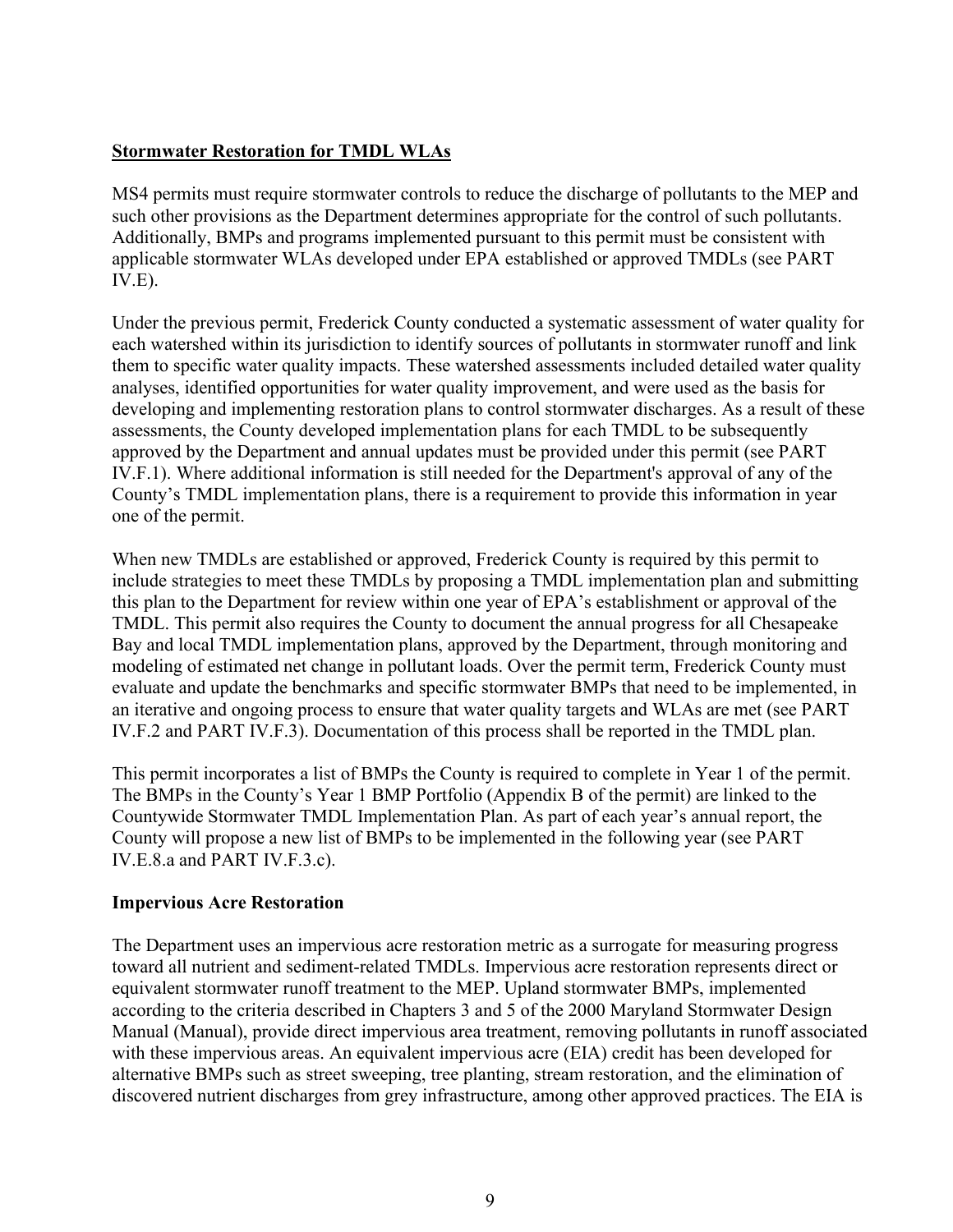### **Stormwater Restoration for TMDL WLAs**

MS4 permits must require stormwater controls to reduce the discharge of pollutants to the MEP and such other provisions as the Department determines appropriate for the control of such pollutants. Additionally, BMPs and programs implemented pursuant to this permit must be consistent with applicable stormwater WLAs developed under EPA established or approved TMDLs (see PART IV.E).

Under the previous permit, Frederick County conducted a systematic assessment of water quality for each watershed within its jurisdiction to identify sources of pollutants in stormwater runoff and link them to specific water quality impacts. These watershed assessments included detailed water quality analyses, identified opportunities for water quality improvement, and were used as the basis for developing and implementing restoration plans to control stormwater discharges. As a result of these assessments, the County developed implementation plans for each TMDL to be subsequently approved by the Department and annual updates must be provided under this permit (see PART IV.F.1). Where additional information is still needed for the Department's approval of any of the County's TMDL implementation plans, there is a requirement to provide this information in year one of the permit.

When new TMDLs are established or approved, Frederick County is required by this permit to include strategies to meet these TMDLs by proposing a TMDL implementation plan and submitting this plan to the Department for review within one year of EPA's establishment or approval of the TMDL. This permit also requires the County to document the annual progress for all Chesapeake Bay and local TMDL implementation plans, approved by the Department, through monitoring and modeling of estimated net change in pollutant loads. Over the permit term, Frederick County must evaluate and update the benchmarks and specific stormwater BMPs that need to be implemented, in an iterative and ongoing process to ensure that water quality targets and WLAs are met (see PART IV.F.2 and PART IV.F.3). Documentation of this process shall be reported in the TMDL plan.

This permit incorporates a list of BMPs the County is required to complete in Year 1 of the permit. The BMPs in the County's Year 1 BMP Portfolio (Appendix B of the permit) are linked to the Countywide Stormwater TMDL Implementation Plan. As part of each year's annual report, the County will propose a new list of BMPs to be implemented in the following year (see PART IV.E.8.a and PART IV.F.3.c).

### **Impervious Acre Restoration**

The Department uses an impervious acre restoration metric as a surrogate for measuring progress toward all nutrient and sediment-related TMDLs. Impervious acre restoration represents direct or equivalent stormwater runoff treatment to the MEP. Upland stormwater BMPs, implemented according to the criteria described in Chapters 3 and 5 of the 2000 Maryland Stormwater Design Manual (Manual), provide direct impervious area treatment, removing pollutants in runoff associated with these impervious areas. An equivalent impervious acre (EIA) credit has been developed for alternative BMPs such as street sweeping, tree planting, stream restoration, and the elimination of discovered nutrient discharges from grey infrastructure, among other approved practices. The EIA is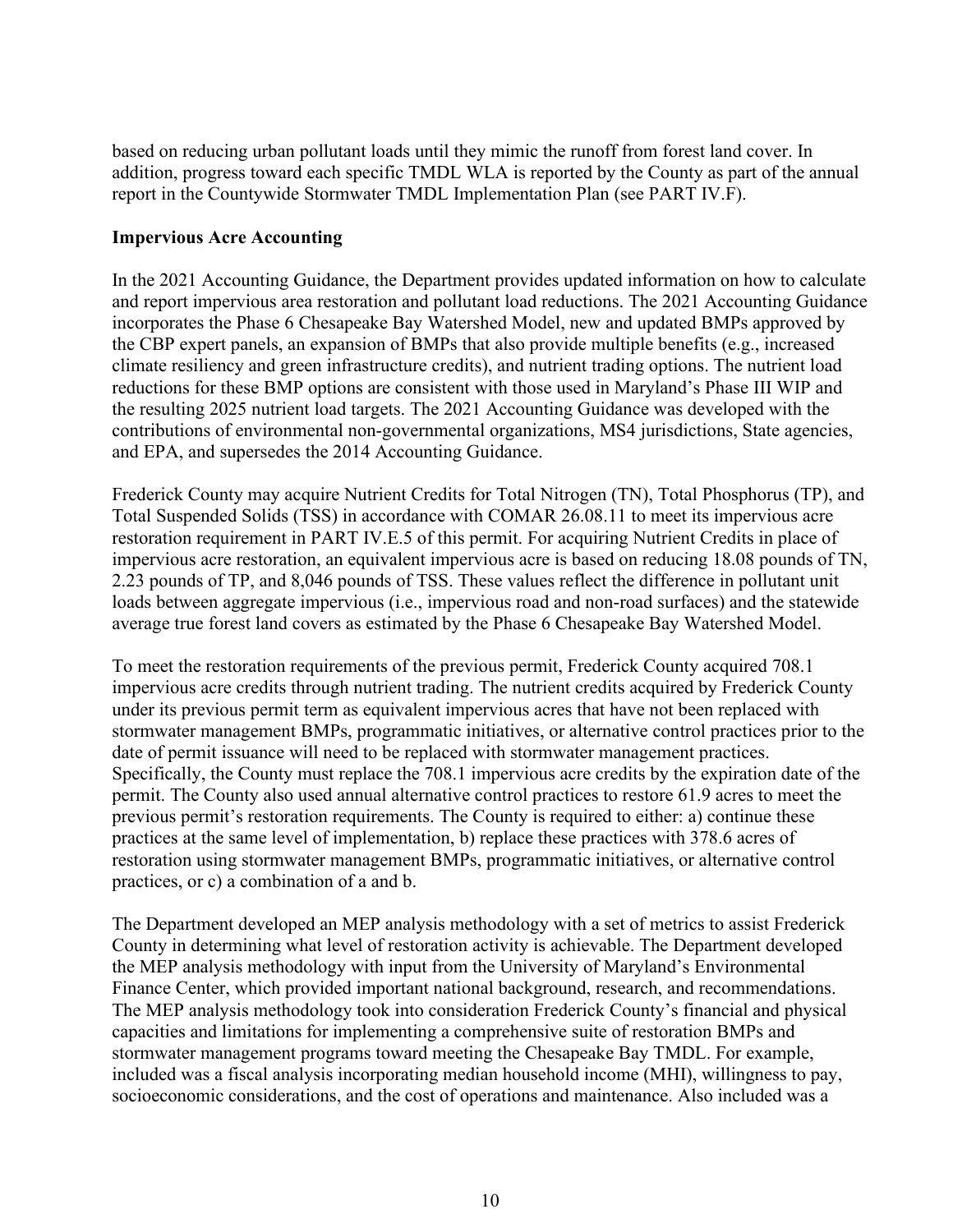based on reducing urban pollutant loads until they mimic the runoff from forest land cover. In addition, progress toward each specific TMDL WLA is reported by the County as part of the annual report in the Countywide Stormwater TMDL Implementation Plan (see PART IV.F).

#### **Impervious Acre Accounting**

In the 2021 Accounting Guidance, the Department provides updated information on how to calculate and report impervious area restoration and pollutant load reductions. The 2021 Accounting Guidance incorporates the Phase 6 Chesapeake Bay Watershed Model, new and updated BMPs approved by the CBP expert panels, an expansion of BMPs that also provide multiple benefits (e.g., increased climate resiliency and green infrastructure credits), and nutrient trading options. The nutrient load reductions for these BMP options are consistent with those used in Maryland's Phase III WIP and the resulting 2025 nutrient load targets. The 2021 Accounting Guidance was developed with the contributions of environmental non-governmental organizations, MS4 jurisdictions, State agencies, and EPA, and supersedes the 2014 Accounting Guidance.

Frederick County may acquire Nutrient Credits for Total Nitrogen (TN), Total Phosphorus (TP), and Total Suspended Solids (TSS) in accordance with COMAR 26.08.11 to meet its impervious acre restoration requirement in PART IV.E.5 of this permit. For acquiring Nutrient Credits in place of impervious acre restoration, an equivalent impervious acre is based on reducing 18.08 pounds of TN, 2.23 pounds of TP, and 8,046 pounds of TSS. These values reflect the difference in pollutant unit loads between aggregate impervious (i.e., impervious road and non-road surfaces) and the statewide average true forest land covers as estimated by the Phase 6 Chesapeake Bay Watershed Model.

To meet the restoration requirements of the previous permit, Frederick County acquired 708.1 impervious acre credits through nutrient trading. The nutrient credits acquired by Frederick County under its previous permit term as equivalent impervious acres that have not been replaced with stormwater management BMPs, programmatic initiatives, or alternative control practices prior to the date of permit issuance will need to be replaced with stormwater management practices. Specifically, the County must replace the 708.1 impervious acre credits by the expiration date of the permit. The County also used annual alternative control practices to restore 61.9 acres to meet the previous permit's restoration requirements. The County is required to either: a) continue these practices at the same level of implementation, b) replace these practices with 378.6 acres of restoration using stormwater management BMPs, programmatic initiatives, or alternative control practices, or c) a combination of a and b.

The Department developed an MEP analysis methodology with a set of metrics to assist Frederick County in determining what level of restoration activity is achievable. The Department developed the MEP analysis methodology with input from the University of Maryland's Environmental Finance Center, which provided important national background, research, and recommendations. The MEP analysis methodology took into consideration Frederick County's financial and physical capacities and limitations for implementing a comprehensive suite of restoration BMPs and stormwater management programs toward meeting the Chesapeake Bay TMDL. For example, included was a fiscal analysis incorporating median household income (MHI), willingness to pay, socioeconomic considerations, and the cost of operations and maintenance. Also included was a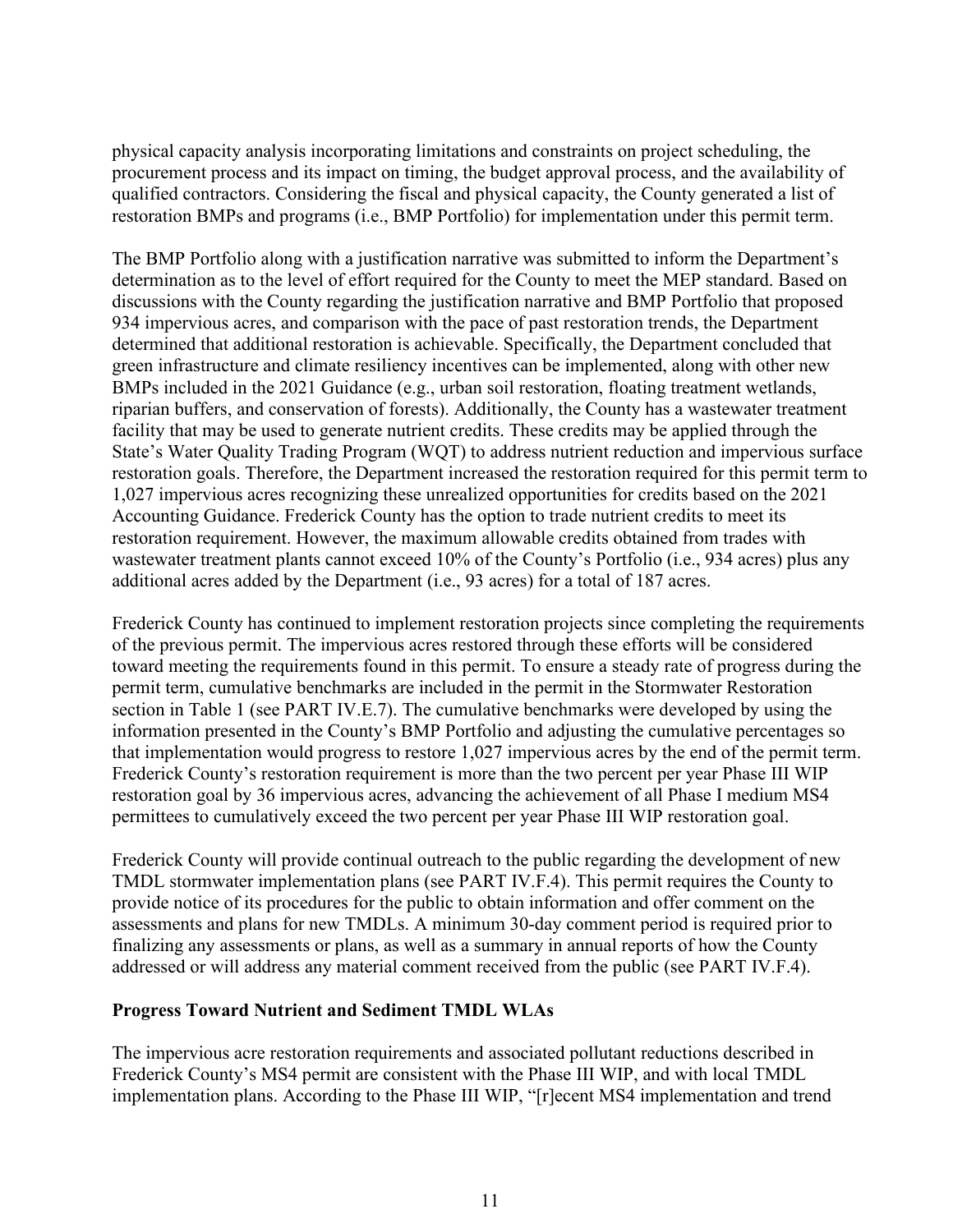physical capacity analysis incorporating limitations and constraints on project scheduling, the procurement process and its impact on timing, the budget approval process, and the availability of qualified contractors. Considering the fiscal and physical capacity, the County generated a list of restoration BMPs and programs (i.e., BMP Portfolio) for implementation under this permit term.

The BMP Portfolio along with a justification narrative was submitted to inform the Department's determination as to the level of effort required for the County to meet the MEP standard. Based on discussions with the County regarding the justification narrative and BMP Portfolio that proposed 934 impervious acres, and comparison with the pace of past restoration trends, the Department determined that additional restoration is achievable. Specifically, the Department concluded that green infrastructure and climate resiliency incentives can be implemented, along with other new BMPs included in the 2021 Guidance (e.g., urban soil restoration, floating treatment wetlands, riparian buffers, and conservation of forests). Additionally, the County has a wastewater treatment facility that may be used to generate nutrient credits. These credits may be applied through the State's Water Quality Trading Program (WQT) to address nutrient reduction and impervious surface restoration goals. Therefore, the Department increased the restoration required for this permit term to 1,027 impervious acres recognizing these unrealized opportunities for credits based on the 2021 Accounting Guidance. Frederick County has the option to trade nutrient credits to meet its restoration requirement. However, the maximum allowable credits obtained from trades with wastewater treatment plants cannot exceed 10% of the County's Portfolio (i.e., 934 acres) plus any additional acres added by the Department (i.e., 93 acres) for a total of 187 acres.

Frederick County has continued to implement restoration projects since completing the requirements of the previous permit. The impervious acres restored through these efforts will be considered toward meeting the requirements found in this permit. To ensure a steady rate of progress during the permit term, cumulative benchmarks are included in the permit in the Stormwater Restoration section in Table 1 (see PART IV.E.7). The cumulative benchmarks were developed by using the information presented in the County's BMP Portfolio and adjusting the cumulative percentages so that implementation would progress to restore 1,027 impervious acres by the end of the permit term. Frederick County's restoration requirement is more than the two percent per year Phase III WIP restoration goal by 36 impervious acres, advancing the achievement of all Phase I medium MS4 permittees to cumulatively exceed the two percent per year Phase III WIP restoration goal.

Frederick County will provide continual outreach to the public regarding the development of new TMDL stormwater implementation plans (see PART IV.F.4). This permit requires the County to provide notice of its procedures for the public to obtain information and offer comment on the assessments and plans for new TMDLs. A minimum 30-day comment period is required prior to finalizing any assessments or plans, as well as a summary in annual reports of how the County addressed or will address any material comment received from the public (see PART IV.F.4).

#### **Progress Toward Nutrient and Sediment TMDL WLAs**

The impervious acre restoration requirements and associated pollutant reductions described in Frederick County's MS4 permit are consistent with the Phase III WIP, and with local TMDL implementation plans. According to the Phase III WIP, "[r]ecent MS4 implementation and trend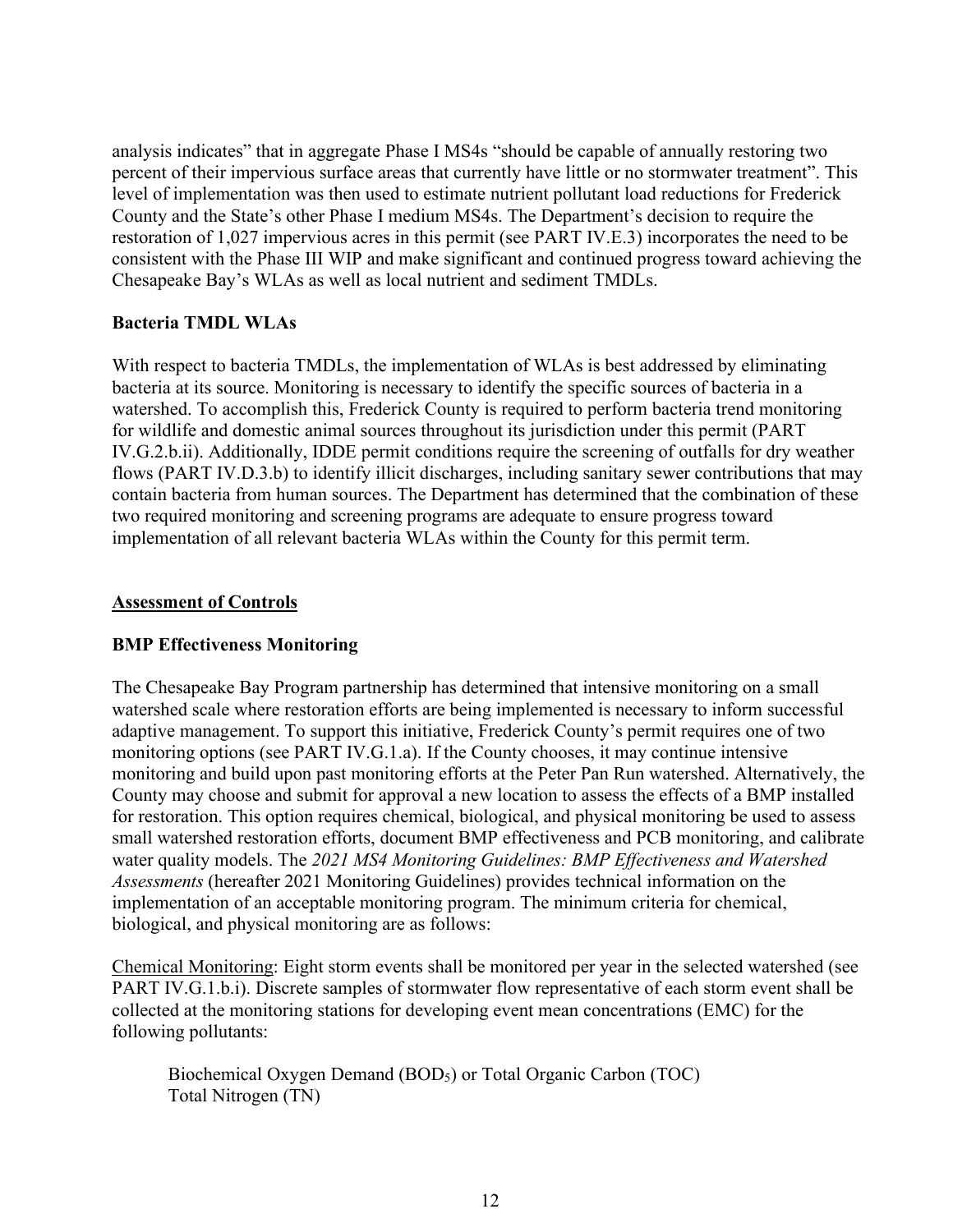analysis indicates" that in aggregate Phase I MS4s "should be capable of annually restoring two percent of their impervious surface areas that currently have little or no stormwater treatment". This level of implementation was then used to estimate nutrient pollutant load reductions for Frederick County and the State's other Phase I medium MS4s. The Department's decision to require the restoration of 1,027 impervious acres in this permit (see PART IV.E.3) incorporates the need to be consistent with the Phase III WIP and make significant and continued progress toward achieving the Chesapeake Bay's WLAs as well as local nutrient and sediment TMDLs.

#### **Bacteria TMDL WLAs**

With respect to bacteria TMDLs, the implementation of WLAs is best addressed by eliminating bacteria at its source. Monitoring is necessary to identify the specific sources of bacteria in a watershed. To accomplish this, Frederick County is required to perform bacteria trend monitoring for wildlife and domestic animal sources throughout its jurisdiction under this permit (PART IV.G.2.b.ii). Additionally, IDDE permit conditions require the screening of outfalls for dry weather flows (PART IV.D.3.b) to identify illicit discharges, including sanitary sewer contributions that may contain bacteria from human sources. The Department has determined that the combination of these two required monitoring and screening programs are adequate to ensure progress toward implementation of all relevant bacteria WLAs within the County for this permit term.

#### **Assessment of Controls**

### **BMP Effectiveness Monitoring**

The Chesapeake Bay Program partnership has determined that intensive monitoring on a small watershed scale where restoration efforts are being implemented is necessary to inform successful adaptive management. To support this initiative, Frederick County's permit requires one of two monitoring options (see PART IV.G.1.a). If the County chooses, it may continue intensive monitoring and build upon past monitoring efforts at the Peter Pan Run watershed. Alternatively, the County may choose and submit for approval a new location to assess the effects of a BMP installed for restoration. This option requires chemical, biological, and physical monitoring be used to assess small watershed restoration efforts, document BMP effectiveness and PCB monitoring, and calibrate water quality models. The *2021 MS4 Monitoring Guidelines: BMP Effectiveness and Watershed Assessments* (hereafter 2021 Monitoring Guidelines) provides technical information on the implementation of an acceptable monitoring program. The minimum criteria for chemical, biological, and physical monitoring are as follows:

Chemical Monitoring: Eight storm events shall be monitored per year in the selected watershed (see PART IV.G.1.b.i). Discrete samples of stormwater flow representative of each storm event shall be collected at the monitoring stations for developing event mean concentrations (EMC) for the following pollutants:

Biochemical Oxygen Demand (BOD<sub>5</sub>) or Total Organic Carbon (TOC) Total Nitrogen (TN)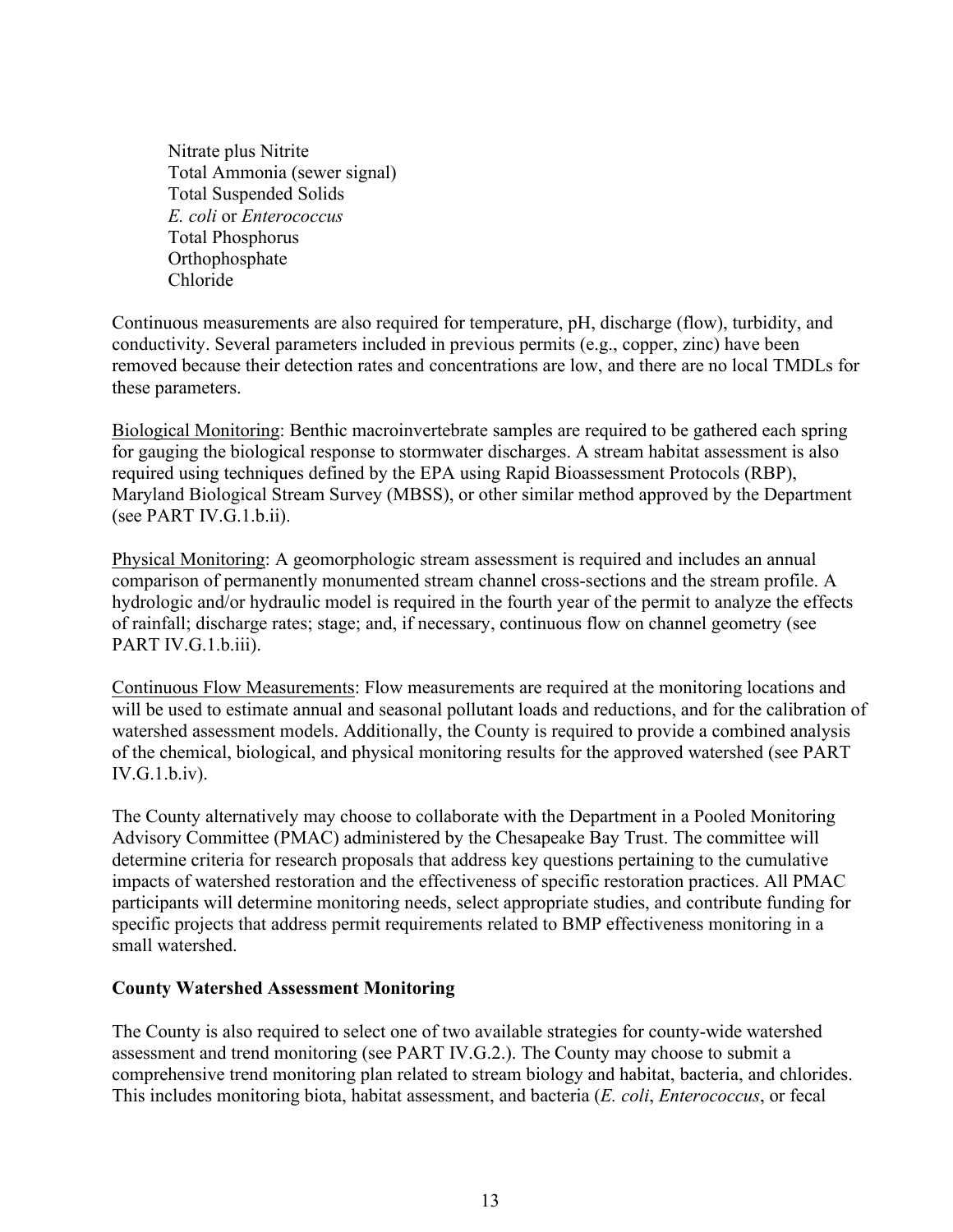Nitrate plus Nitrite Total Ammonia (sewer signal) Total Suspended Solids *E. coli* or *Enterococcus*  Total Phosphorus Orthophosphate Chloride

Continuous measurements are also required for temperature, pH, discharge (flow), turbidity, and conductivity. Several parameters included in previous permits (e.g., copper, zinc) have been removed because their detection rates and concentrations are low, and there are no local TMDLs for these parameters.

Biological Monitoring: Benthic macroinvertebrate samples are required to be gathered each spring for gauging the biological response to stormwater discharges. A stream habitat assessment is also required using techniques defined by the EPA using Rapid Bioassessment Protocols (RBP), Maryland Biological Stream Survey (MBSS), or other similar method approved by the Department (see PART IV.G.1.b.ii).

Physical Monitoring: A geomorphologic stream assessment is required and includes an annual comparison of permanently monumented stream channel cross-sections and the stream profile. A hydrologic and/or hydraulic model is required in the fourth year of the permit to analyze the effects of rainfall; discharge rates; stage; and, if necessary, continuous flow on channel geometry (see PART IV.G.1.b.iii).

Continuous Flow Measurements: Flow measurements are required at the monitoring locations and will be used to estimate annual and seasonal pollutant loads and reductions, and for the calibration of watershed assessment models. Additionally, the County is required to provide a combined analysis of the chemical, biological, and physical monitoring results for the approved watershed (see PART IV.G.1.b.iv).

The County alternatively may choose to collaborate with the Department in a Pooled Monitoring Advisory Committee (PMAC) administered by the Chesapeake Bay Trust. The committee will determine criteria for research proposals that address key questions pertaining to the cumulative impacts of watershed restoration and the effectiveness of specific restoration practices. All PMAC participants will determine monitoring needs, select appropriate studies, and contribute funding for specific projects that address permit requirements related to BMP effectiveness monitoring in a small watershed.

### **County Watershed Assessment Monitoring**

The County is also required to select one of two available strategies for county-wide watershed assessment and trend monitoring (see PART IV.G.2.). The County may choose to submit a comprehensive trend monitoring plan related to stream biology and habitat, bacteria, and chlorides. This includes monitoring biota, habitat assessment, and bacteria (*E. coli*, *Enterococcus*, or fecal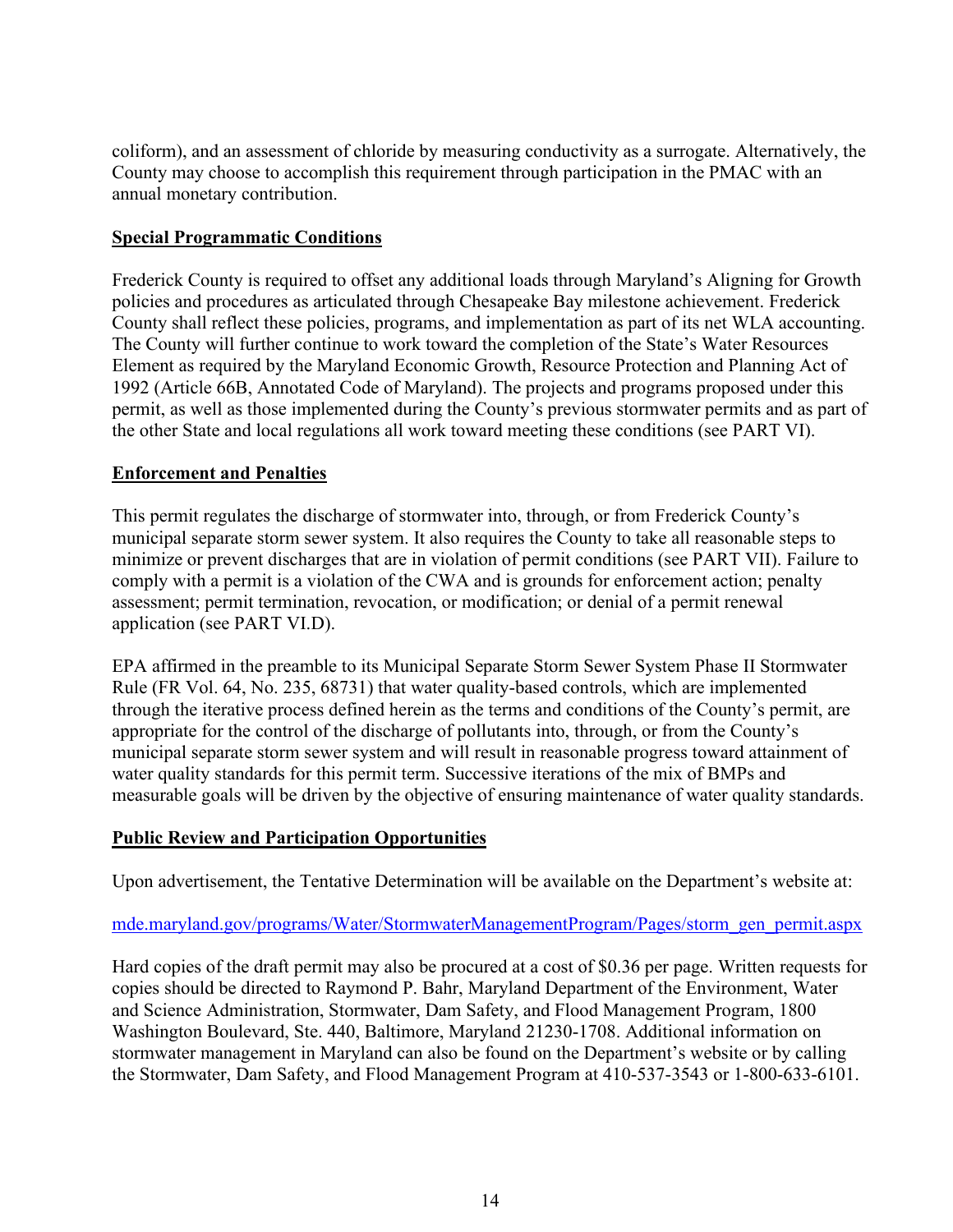coliform), and an assessment of chloride by measuring conductivity as a surrogate. Alternatively, the County may choose to accomplish this requirement through participation in the PMAC with an annual monetary contribution.

### **Special Programmatic Conditions**

Frederick County is required to offset any additional loads through Maryland's Aligning for Growth policies and procedures as articulated through Chesapeake Bay milestone achievement. Frederick County shall reflect these policies, programs, and implementation as part of its net WLA accounting. The County will further continue to work toward the completion of the State's Water Resources Element as required by the Maryland Economic Growth, Resource Protection and Planning Act of 1992 (Article 66B, Annotated Code of Maryland). The projects and programs proposed under this permit, as well as those implemented during the County's previous stormwater permits and as part of the other State and local regulations all work toward meeting these conditions (see PART VI).

# **Enforcement and Penalties**

This permit regulates the discharge of stormwater into, through, or from Frederick County's municipal separate storm sewer system. It also requires the County to take all reasonable steps to minimize or prevent discharges that are in violation of permit conditions (see PART VII). Failure to comply with a permit is a violation of the CWA and is grounds for enforcement action; penalty assessment; permit termination, revocation, or modification; or denial of a permit renewal application (see PART VI.D).

EPA affirmed in the preamble to its Municipal Separate Storm Sewer System Phase II Stormwater Rule (FR Vol. 64, No. 235, 68731) that water quality-based controls, which are implemented through the iterative process defined herein as the terms and conditions of the County's permit, are appropriate for the control of the discharge of pollutants into, through, or from the County's municipal separate storm sewer system and will result in reasonable progress toward attainment of water quality standards for this permit term. Successive iterations of the mix of BMPs and measurable goals will be driven by the objective of ensuring maintenance of water quality standards.

# **Public Review and Participation Opportunities**

Upon advertisement, the Tentative Determination will be available on the Department's website at:

### mde.maryland.gov/programs/Water/StormwaterManagementProgram/Pages/storm\_gen\_permit.aspx

Hard copies of the draft permit may also be procured at a cost of \$0.36 per page. Written requests for copies should be directed to Raymond P. Bahr, Maryland Department of the Environment, Water and Science Administration, Stormwater, Dam Safety, and Flood Management Program, 1800 Washington Boulevard, Ste. 440, Baltimore, Maryland 21230-1708. Additional information on stormwater management in Maryland can also be found on the Department's website or by calling the Stormwater, Dam Safety, and Flood Management Program at 410-537-3543 or 1-800-633-6101.